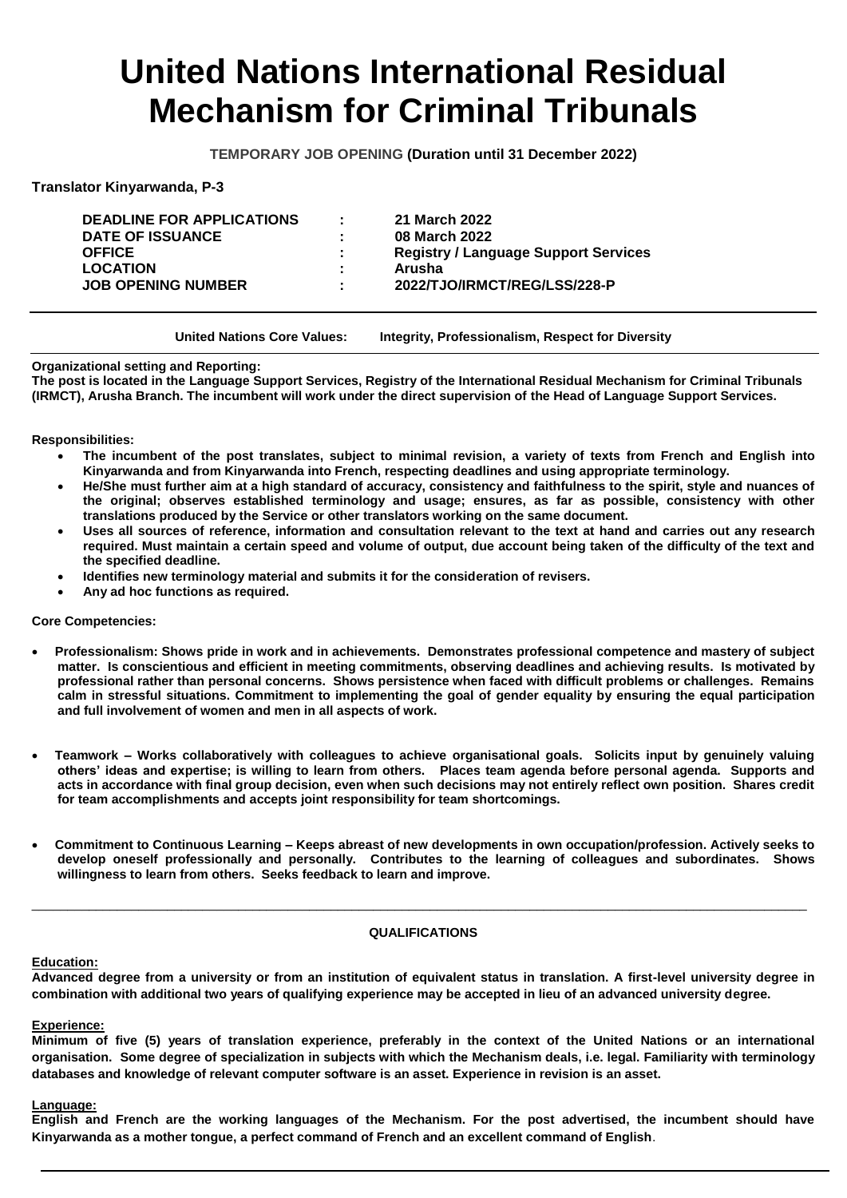# **United Nations International Residual Mechanism for Criminal Tribunals**

**TEMPORARY JOB OPENING (Duration until 31 December 2022)**

**Translator Kinyarwanda, P-3**

| <b>Contract</b><br>÷<br>٠<br>٠. | 21 March 2022<br>08 March 2022<br><b>Registry / Language Support Services</b><br>Arusha |
|---------------------------------|-----------------------------------------------------------------------------------------|
|                                 | 2022/TJO/IRMCT/REG/LSS/228-P                                                            |
|                                 |                                                                                         |

**United Nations Core Values: Integrity, Professionalism, Respect for Diversity**

**Organizational setting and Reporting:**

**The post is located in the Language Support Services, Registry of the International Residual Mechanism for Criminal Tribunals (IRMCT), Arusha Branch. The incumbent will work under the direct supervision of the Head of Language Support Services.**

**Responsibilities:**

- **The incumbent of the post translates, subject to minimal revision, a variety of texts from French and English into Kinyarwanda and from Kinyarwanda into French, respecting deadlines and using appropriate terminology.**
- **He/She must further aim at a high standard of accuracy, consistency and faithfulness to the spirit, style and nuances of the original; observes established terminology and usage; ensures, as far as possible, consistency with other translations produced by the Service or other translators working on the same document.**
- **Uses all sources of reference, information and consultation relevant to the text at hand and carries out any research required. Must maintain a certain speed and volume of output, due account being taken of the difficulty of the text and the specified deadline.**
- **Identifies new terminology material and submits it for the consideration of revisers.**
- **Any ad hoc functions as required.**

**Core Competencies:**

- **Professionalism: Shows pride in work and in achievements. Demonstrates professional competence and mastery of subject matter. Is conscientious and efficient in meeting commitments, observing deadlines and achieving results. Is motivated by**  professional rather than personal concerns. Shows persistence when faced with difficult problems or challenges. Remains **calm in stressful situations. Commitment to implementing the goal of gender equality by ensuring the equal participation and full involvement of women and men in all aspects of work.**
- **Teamwork – Works collaboratively with colleagues to achieve organisational goals. Solicits input by genuinely valuing others' ideas and expertise; is willing to learn from others. Places team agenda before personal agenda. Supports and acts in accordance with final group decision, even when such decisions may not entirely reflect own position. Shares credit for team accomplishments and accepts joint responsibility for team shortcomings.**
- **Commitment to Continuous Learning – Keeps abreast of new developments in own occupation/profession. Actively seeks to develop oneself professionally and personally. Contributes to the learning of colleagues and subordinates. Shows willingness to learn from others. Seeks feedback to learn and improve.**

## **QUALIFICATIONS**

\_\_\_\_\_\_\_\_\_\_\_\_\_\_\_\_\_\_\_\_\_\_\_\_\_\_\_\_\_\_\_\_\_\_\_\_\_\_\_\_\_\_\_\_\_\_\_\_\_\_\_\_\_\_\_\_\_\_\_\_\_\_\_\_\_\_\_\_\_\_\_\_\_\_\_\_\_\_\_\_\_\_\_\_\_\_\_\_\_\_\_\_\_\_\_\_\_\_\_\_\_\_\_\_\_\_\_\_\_

## **Education:**

**Advanced degree from a university or from an institution of equivalent status in translation. A first-level university degree in combination with additional two years of qualifying experience may be accepted in lieu of an advanced university degree.** 

## **Experience:**

**Minimum of five (5) years of translation experience, preferably in the context of the United Nations or an international organisation. Some degree of specialization in subjects with which the Mechanism deals, i.e. legal. Familiarity with terminology databases and knowledge of relevant computer software is an asset. Experience in revision is an asset.** 

## **Language:**

**English and French are the working languages of the Mechanism. For the post advertised, the incumbent should have Kinyarwanda as a mother tongue, a perfect command of French and an excellent command of English**.